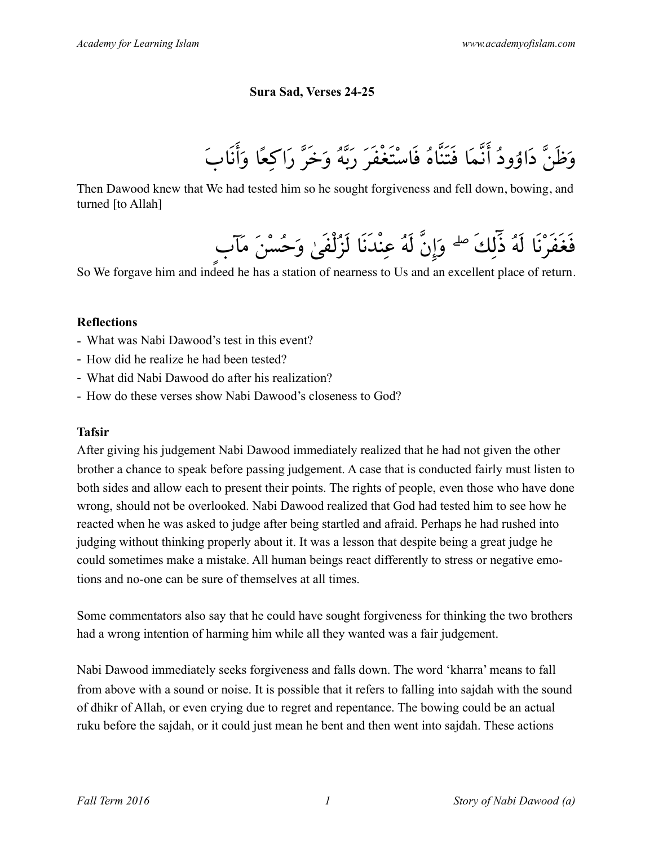# **Sura Sad, Verses 24-25**

وَظَنَّ دَاۇودُ أنَّمَا فَتَنَّاهُ فَاسْتَغْفَرَ رَبَّهُ وَخَرَّ رَاكِعًا وَأنَابَ

Then Dawood knew that We had tested him so he sought forgiveness and fell down, bowing, and turned [to Allah]

فَغَفَرْنَا لَهُ ذٓلِكَ ۖ وَإنَّ لَهُ عِنْدَنَا لَزُلْفَىٰ وَحُسْنَ مَآبٍ

So We forgave him and indeed he has a station of nearness to Us and an excellent place of return.

## **Reflections**

- What was Nabi Dawood's test in this event?
- How did he realize he had been tested?
- What did Nabi Dawood do after his realization?
- How do these verses show Nabi Dawood's closeness to God?

# **Tafsir**

After giving his judgement Nabi Dawood immediately realized that he had not given the other brother a chance to speak before passing judgement. A case that is conducted fairly must listen to both sides and allow each to present their points. The rights of people, even those who have done wrong, should not be overlooked. Nabi Dawood realized that God had tested him to see how he reacted when he was asked to judge after being startled and afraid. Perhaps he had rushed into judging without thinking properly about it. It was a lesson that despite being a great judge he could sometimes make a mistake. All human beings react differently to stress or negative emotions and no-one can be sure of themselves at all times.

Some commentators also say that he could have sought forgiveness for thinking the two brothers had a wrong intention of harming him while all they wanted was a fair judgement.

Nabi Dawood immediately seeks forgiveness and falls down. The word 'kharra' means to fall from above with a sound or noise. It is possible that it refers to falling into sajdah with the sound of dhikr of Allah, or even crying due to regret and repentance. The bowing could be an actual ruku before the sajdah, or it could just mean he bent and then went into sajdah. These actions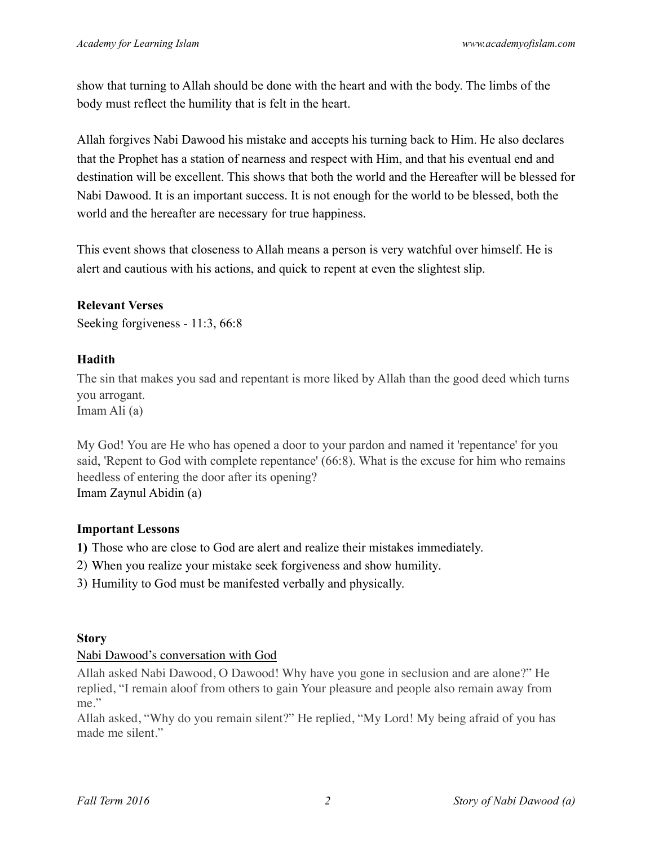show that turning to Allah should be done with the heart and with the body. The limbs of the body must reflect the humility that is felt in the heart.

Allah forgives Nabi Dawood his mistake and accepts his turning back to Him. He also declares that the Prophet has a station of nearness and respect with Him, and that his eventual end and destination will be excellent. This shows that both the world and the Hereafter will be blessed for Nabi Dawood. It is an important success. It is not enough for the world to be blessed, both the world and the hereafter are necessary for true happiness.

This event shows that closeness to Allah means a person is very watchful over himself. He is alert and cautious with his actions, and quick to repent at even the slightest slip.

# **Relevant Verses**

Seeking forgiveness - 11:3, 66:8

## **Hadith**

The sin that makes you sad and repentant is more liked by Allah than the good deed which turns you arrogant.

Imam Ali (a)

My God! You are He who has opened a door to your pardon and named it 'repentance' for you said, 'Repent to God with complete repentance' (66:8). What is the excuse for him who remains heedless of entering the door after its opening? Imam Zaynul Abidin (a)

#### **Important Lessons**

**1)** Those who are close to God are alert and realize their mistakes immediately.

- 2) When you realize your mistake seek forgiveness and show humility.
- 3) Humility to God must be manifested verbally and physically.

#### **Story**

#### Nabi Dawood's conversation with God

Allah asked Nabi Dawood, O Dawood! Why have you gone in seclusion and are alone?" He replied, "I remain aloof from others to gain Your pleasure and people also remain away from me."

Allah asked, "Why do you remain silent?" He replied, "My Lord! My being afraid of you has made me silent."